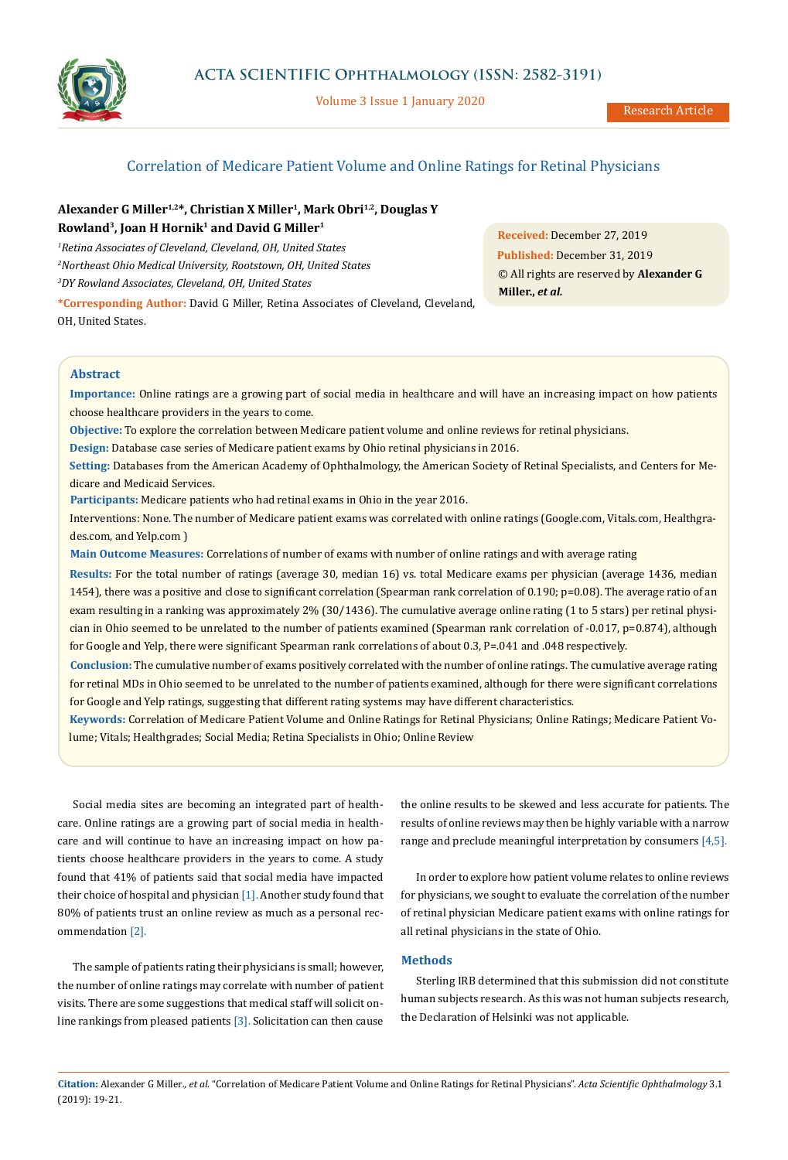# **ACTA SCIENTIFIC Ophthalmology (ISSN: 2582-3191)**



Volume 3 Issue 1 January 2020

**Received:** December 27, 2019 **Published:** December 31, 2019

**Miller.,** *et al.*

© All rights are reserved by **Alexander G** 

## Correlation of Medicare Patient Volume and Online Ratings for Retinal Physicians

## Alexander G Miller<sup>1,2\*</sup>, Christian X Miller<sup>1</sup>, Mark Obri<sup>1,2</sup>, Douglas Y **Rowland3, Joan H Hornik1 and David G Miller1**

*1 Retina Associates of Cleveland, Cleveland, OH, United States 2 Northeast Ohio Medical University, Rootstown, OH, United States 3 DY Rowland Associates, Cleveland, OH, United States*

**\*Corresponding Author:** David G Miller, Retina Associates of Cleveland, Cleveland, OH, United States.

**Abstract**

**Importance:** Online ratings are a growing part of social media in healthcare and will have an increasing impact on how patients choose healthcare providers in the years to come.

**Objective:** To explore the correlation between Medicare patient volume and online reviews for retinal physicians.

**Design:** Database case series of Medicare patient exams by Ohio retinal physicians in 2016.

**Setting:** Databases from the American Academy of Ophthalmology, the American Society of Retinal Specialists, and Centers for Medicare and Medicaid Services.

**Participants:** Medicare patients who had retinal exams in Ohio in the year 2016.

Interventions: None. The number of Medicare patient exams was correlated with online ratings (Google.com, Vitals.com, Healthgrades.com, and Yelp.com )

**Main Outcome Measures:** Correlations of number of exams with number of online ratings and with average rating

**Results:** For the total number of ratings (average 30, median 16) vs. total Medicare exams per physician (average 1436, median 1454), there was a positive and close to significant correlation (Spearman rank correlation of 0.190; p=0.08). The average ratio of an exam resulting in a ranking was approximately 2% (30/1436). The cumulative average online rating (1 to 5 stars) per retinal physician in Ohio seemed to be unrelated to the number of patients examined (Spearman rank correlation of -0.017, p=0.874), although for Google and Yelp, there were significant Spearman rank correlations of about 0.3, P=.041 and .048 respectively.

**Conclusion:** The cumulative number of exams positively correlated with the number of online ratings. The cumulative average rating for retinal MDs in Ohio seemed to be unrelated to the number of patients examined, although for there were significant correlations for Google and Yelp ratings, suggesting that different rating systems may have different characteristics.

**Keywords:** Correlation of Medicare Patient Volume and Online Ratings for Retinal Physicians; Online Ratings; Medicare Patient Volume; Vitals; Healthgrades; Social Media; Retina Specialists in Ohio; Online Review

Social media sites are becoming an integrated part of healthcare. Online ratings are a growing part of social media in healthcare and will continue to have an increasing impact on how patients choose healthcare providers in the years to come. A study found that 41% of patients said that social media have impacted their choice of hospital and physician [1]. Another study found that 80% of patients trust an online review as much as a personal recommendation [2].

The sample of patients rating their physicians is small; however, the number of online ratings may correlate with number of patient visits. There are some suggestions that medical staff will solicit online rankings from pleased patients  $[3]$ . Solicitation can then cause the online results to be skewed and less accurate for patients. The results of online reviews may then be highly variable with a narrow range and preclude meaningful interpretation by consumers [4,5].

In order to explore how patient volume relates to online reviews for physicians, we sought to evaluate the correlation of the number of retinal physician Medicare patient exams with online ratings for all retinal physicians in the state of Ohio.

**Methods** 

Sterling IRB determined that this submission did not constitute human subjects research. As this was not human subjects research, the Declaration of Helsinki was not applicable.

**Citation:** Alexander G Miller*., et al.* "Correlation of Medicare Patient Volume and Online Ratings for Retinal Physicians". *Acta Scientific Ophthalmology* 3.1 (2019): 19-21.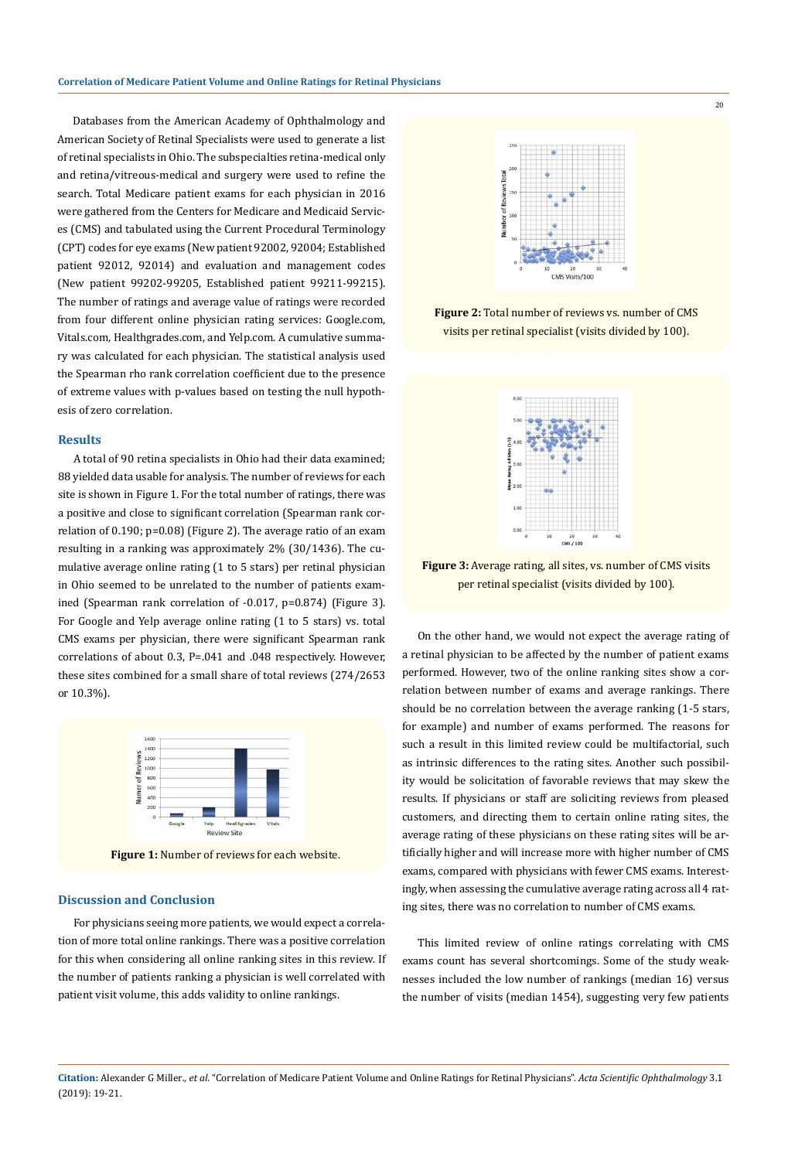Databases from the American Academy of Ophthalmology and American Society of Retinal Specialists were used to generate a list of retinal specialists in Ohio. The subspecialties retina-medical only and retina/vitreous-medical and surgery were used to refine the search. Total Medicare patient exams for each physician in 2016 were gathered from the Centers for Medicare and Medicaid Services (CMS) and tabulated using the Current Procedural Terminology (CPT) codes for eye exams (New patient 92002, 92004; Established patient 92012, 92014) and evaluation and management codes (New patient 99202-99205, Established patient 99211-99215). The number of ratings and average value of ratings were recorded from four different online physician rating services: Google.com, Vitals.com, Healthgrades.com, and Yelp.com. A cumulative summary was calculated for each physician. The statistical analysis used the Spearman rho rank correlation coefficient due to the presence of extreme values with p-values based on testing the null hypothesis of zero correlation.

#### **Results**

A total of 90 retina specialists in Ohio had their data examined; 88 yielded data usable for analysis. The number of reviews for each site is shown in Figure 1. For the total number of ratings, there was a positive and close to significant correlation (Spearman rank correlation of 0.190; p=0.08) (Figure 2). The average ratio of an exam resulting in a ranking was approximately 2% (30/1436). The cumulative average online rating (1 to 5 stars) per retinal physician in Ohio seemed to be unrelated to the number of patients examined (Spearman rank correlation of -0.017, p=0.874) (Figure 3). For Google and Yelp average online rating (1 to 5 stars) vs. total CMS exams per physician, there were significant Spearman rank correlations of about 0.3, P=.041 and .048 respectively. However, these sites combined for a small share of total reviews (274/2653 or 10.3%).



**Figure 1:** Number of reviews for each website.

### **Discussion and Conclusion**

For physicians seeing more patients, we would expect a correlation of more total online rankings. There was a positive correlation for this when considering all online ranking sites in this review. If the number of patients ranking a physician is well correlated with patient visit volume, this adds validity to online rankings.



20

**Figure 2:** Total number of reviews vs. number of CMS visits per retinal specialist (visits divided by 100).



**Figure 3:** Average rating, all sites, vs. number of CMS visits per retinal specialist (visits divided by 100).

On the other hand, we would not expect the average rating of a retinal physician to be affected by the number of patient exams performed. However, two of the online ranking sites show a correlation between number of exams and average rankings. There should be no correlation between the average ranking (1-5 stars, for example) and number of exams performed. The reasons for such a result in this limited review could be multifactorial, such as intrinsic differences to the rating sites. Another such possibility would be solicitation of favorable reviews that may skew the results. If physicians or staff are soliciting reviews from pleased customers, and directing them to certain online rating sites, the average rating of these physicians on these rating sites will be artificially higher and will increase more with higher number of CMS exams, compared with physicians with fewer CMS exams. Interestingly, when assessing the cumulative average rating across all 4 rating sites, there was no correlation to number of CMS exams.

This limited review of online ratings correlating with CMS exams count has several shortcomings. Some of the study weaknesses included the low number of rankings (median 16) versus the number of visits (median 1454), suggesting very few patients

**Citation:** Alexander G Miller*., et al.* "Correlation of Medicare Patient Volume and Online Ratings for Retinal Physicians". *Acta Scientific Ophthalmology* 3.1 (2019): 19-21.